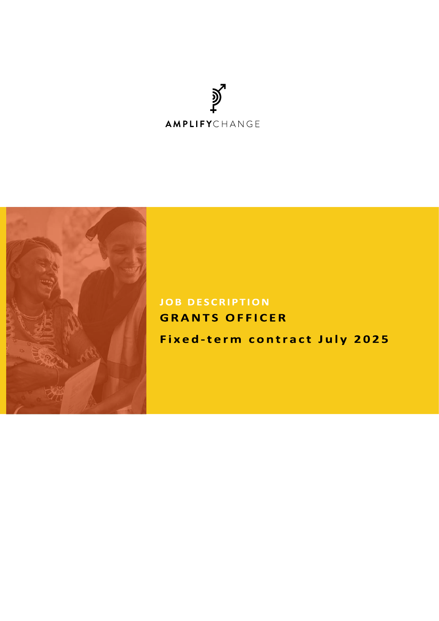



# **JOB DESCRIPTION GRANTS OFFICER**

Fixed-term contract July 2025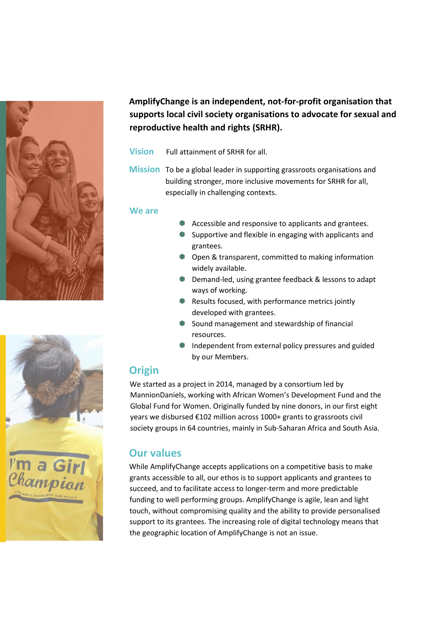



- **Vision** Full attainment of SRHR for all.
- **Mission** To be a global leader in supporting grassroots organisations and building stronger, more inclusive movements for SRHR for all, especially in challenging contexts.

#### **We are**

- Accessible and responsive to applicants and grantees.
- **Supportive and flexible in engaging with applicants and** grantees.
- **Open & transparent, committed to making information** widely available.
- **Demand-led, using grantee feedback & lessons to adapt** ways of working.
- Results focused, with performance metrics jointly developed with grantees.
- Sound management and stewardship of financial resources.
- Independent from external policy pressures and guided by our Members.

#### **Origin**

We started as a project in 2014, managed by a consortium led by MannionDaniels, working with African Women's Development Fund and the Global Fund for Women. Originally funded by nine donors, in our first eight years we disbursed €102 million across 1000+ grants to grassroots civil society groups in 64 countries, mainly in Sub-Saharan Africa and South Asia.

## **Our values**

While AmplifyChange accepts applications on a competitive basis to make grants accessible to all, our ethos is to support applicants and grantees to succeed, and to facilitate access to longer-term and more predictable funding to well performing groups. AmplifyChange is agile, lean and light touch, without compromising quality and the ability to provide personalised support to its grantees. The increasing role of digital technology means that the geographic location of AmplifyChange is not an issue.

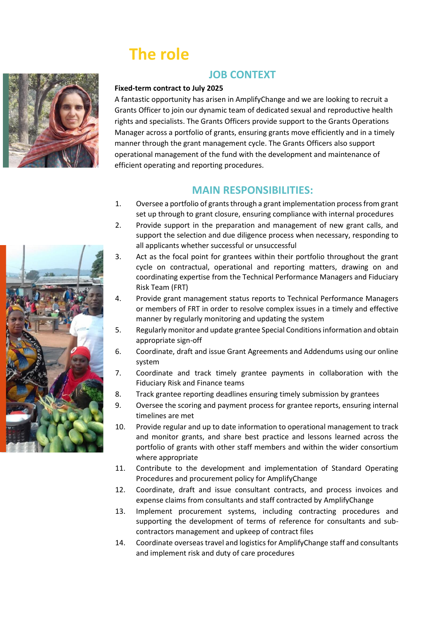# **The role**



#### **JOB CONTEXT**

#### **Fixed-term contract to July 2025**

A fantastic opportunity has arisen in AmplifyChange and we are looking to recruit a Grants Officer to join our dynamic team of dedicated sexual and reproductive health rights and specialists. The Grants Officers provide support to the Grants Operations Manager across a portfolio of grants, ensuring grants move efficiently and in a timely manner through the grant management cycle. The Grants Officers also support operational management of the fund with the development and maintenance of efficient operating and reporting procedures.

#### **MAIN RESPONSIBILITIES:**

- 1. Oversee a portfolio of grants through a grant implementation process from grant set up through to grant closure, ensuring compliance with internal procedures
- 2. Provide support in the preparation and management of new grant calls, and support the selection and due diligence process when necessary, responding to all applicants whether successful or unsuccessful
- 3. Act as the focal point for grantees within their portfolio throughout the grant cycle on contractual, operational and reporting matters, drawing on and coordinating expertise from the Technical Performance Managers and Fiduciary Risk Team (FRT)
- 4. Provide grant management status reports to Technical Performance Managers or members of FRT in order to resolve complex issues in a timely and effective manner by regularly monitoring and updating the system
- 5. Regularly monitor and update grantee Special Conditions information and obtain appropriate sign-off
- 6. Coordinate, draft and issue Grant Agreements and Addendums using our online system
- 7. Coordinate and track timely grantee payments in collaboration with the Fiduciary Risk and Finance teams
- 8. Track grantee reporting deadlines ensuring timely submission by grantees
- 9. Oversee the scoring and payment process for grantee reports, ensuring internal timelines are met
- 10. Provide regular and up to date information to operational management to track and monitor grants, and share best practice and lessons learned across the portfolio of grants with other staff members and within the wider consortium where appropriate
- 11. Contribute to the development and implementation of Standard Operating Procedures and procurement policy for AmplifyChange
- 12. Coordinate, draft and issue consultant contracts, and process invoices and expense claims from consultants and staff contracted by AmplifyChange
- 13. Implement procurement systems, including contracting procedures and supporting the development of terms of reference for consultants and subcontractors management and upkeep of contract files
- 14. Coordinate overseas travel and logistics for AmplifyChange staff and consultants and implement risk and duty of care procedures

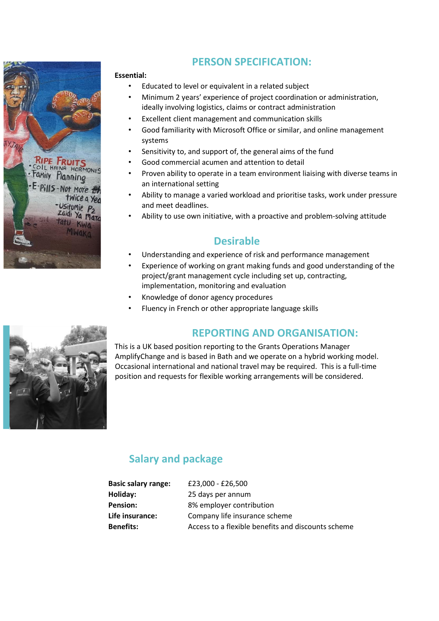

## **PERSON SPECIFICATION:**

#### **Essential:**

- Educated to level or equivalent in a related subject
- Minimum 2 years' experience of project coordination or administration, ideally involving logistics, claims or contract administration
- Excellent client management and communication skills
- Good familiarity with Microsoft Office or similar, and online management systems
- Sensitivity to, and support of, the general aims of the fund
- Good commercial acumen and attention to detail
- Proven ability to operate in a team environment liaising with diverse teams in an international setting
- Ability to manage a varied workload and prioritise tasks, work under pressure and meet deadlines.
- Ability to use own initiative, with a proactive and problem-solving attitude

#### **Desirable**

- Understanding and experience of risk and performance management
- Experience of working on grant making funds and good understanding of the project/grant management cycle including set up, contracting, implementation, monitoring and evaluation
- Knowledge of donor agency procedures
- Fluency in French or other appropriate language skills

## **REPORTING AND ORGANISATION:**



## **Salary and package**

| <b>Basic salary range:</b> | £23,000 - £26,500                                  |
|----------------------------|----------------------------------------------------|
| Holiday:                   | 25 days per annum                                  |
| <b>Pension:</b>            | 8% employer contribution                           |
| Life insurance:            | Company life insurance scheme                      |
| <b>Benefits:</b>           | Access to a flexible benefits and discounts scheme |